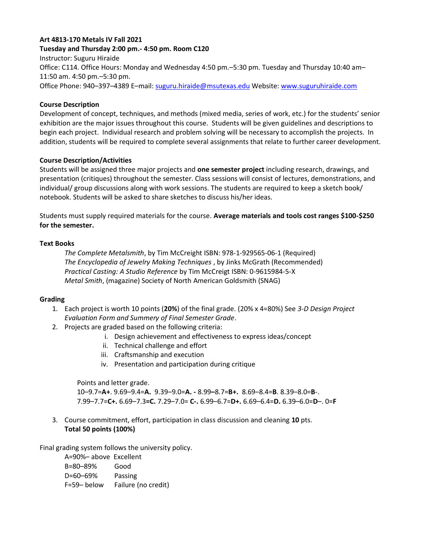# **Art 4813-170 Metals IV Fall 2021**

#### **Tuesday and Thursday 2:00 pm.- 4:50 pm. Room C120**

Instructor: Suguru Hiraide Office: C114. Office Hours: Monday and Wednesday 4:50 pm.–5:30 pm. Tuesday and Thursday 10:40 am– 11:50 am. 4:50 pm.–5:30 pm. Office Phone: 940–397–4389 E–mail: [suguru.hiraide@msutexas.edu](mailto:suguru.hiraide@msutexas.edu) Website: [www.suguruhiraide.com](http://www.sugurusculpture.com/)

# **Course Description**

Development of concept, techniques, and methods (mixed media, series of work, etc.) for the students' senior exhibition are the major issues throughout this course. Students will be given guidelines and descriptions to begin each project. Individual research and problem solving will be necessary to accomplish the projects. In addition, students will be required to complete several assignments that relate to further career development.

# **Course Description/Activities**

Students will be assigned three major projects and **one semester project** including research, drawings, and presentation (critiques) throughout the semester. Class sessions will consist of lectures, demonstrations, and individual/ group discussions along with work sessions. The students are required to keep a sketch book/ notebook. Students will be asked to share sketches to discuss his/her ideas.

Students must supply required materials for the course. **Average materials and tools cost ranges \$100-\$250 for the semester.**

# **Text Books**

*The Complete Metalsmith*, by Tim McCreight ISBN: 978-1-929565-06-1 (Required) *The Encyclopedia of Jewelry Making Techniques* , by Jinks McGrath (Recommended) *Practical Casting: A Studio Reference* by Tim McCreigt ISBN: 0-9615984-5-X *Metal Smith*, (magazine) Society of North American Goldsmith (SNAG)

# **Grading**

- 1. Each project is worth 10 points (**20%**) of the final grade. (20% x 4=80%) See *3-D Design Project Evaluation Form and Summery of Final Semester Grade*.
- 2. Projects are graded based on the following criteria:
	- i. Design achievement and effectiveness to express ideas/concept
	- ii. Technical challenge and effort
	- iii. Craftsmanship and execution
	- iv. Presentation and participation during critique

Points and letter grade.

10–9.7=**A+**. 9.69–9.4=**A.** 9.39–9.0=**A. -** 8.99**–**8.7=**B+.** 8.69–8.4=**B**. 8.39–8.0=**B**-. 7.99–7.7=**C+.** 6.69–7.3**=C.** 7.29–7.0= **C-.** 6.99–6.7=**D+.** 6.69–6.4=**D.** 6.39–6.0=**D**–. 0=**F**

3. Course commitment, effort, participation in class discussion and cleaning **10** pts. **Total 50 points (100%)**

Final grading system follows the university policy.

A=90%– above Excellent B=80–89% Good D=60–69% Passing F=59– below Failure (no credit)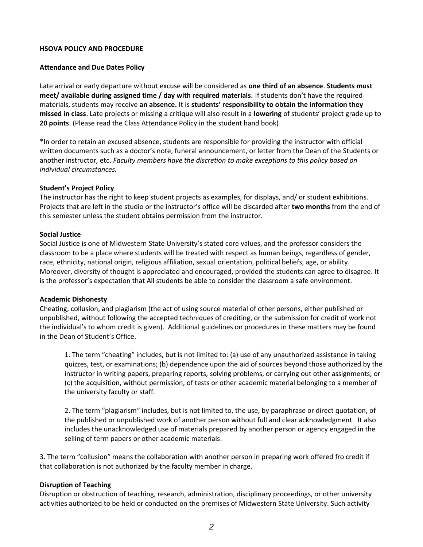#### **HSOVA POLICY AND PROCEDURE**

#### **Attendance and Due Dates Policy**

Late arrival or early departure without excuse will be considered as **one third of an absence**. **Students must meet/ available during assigned time / day with required materials.** If students don't have the required materials, students may receive **an absence.** It is **students' responsibility to obtain the information they missed in class**. Late projects or missing a critique will also result in a **lowering** of students' project grade up to **20 points**. (Please read the Class Attendance Policy in the student hand book)

\*In order to retain an excused absence, students are responsible for providing the instructor with official written documents such as a doctor's note, funeral announcement, or letter from the Dean of the Students or another instructor, etc. *Faculty members have the discretion to make exceptions to this policy based on individual circumstances.*

#### **Student's Project Policy**

The instructor has the right to keep student projects as examples, for displays, and/ or student exhibitions. Projects that are left in the studio or the instructor's office will be discarded after **two months** from the end of this semester unless the student obtains permission from the instructor.

#### **Social Justice**

Social Justice is one of Midwestern State University's stated core values, and the professor considers the classroom to be a place where students will be treated with respect as human beings, regardless of gender, race, ethnicity, national origin, religious affiliation, sexual orientation, political beliefs, age, or ability. Moreover, diversity of thought is appreciated and encouraged, provided the students can agree to disagree. It is the professor's expectation that All students be able to consider the classroom a safe environment.

#### **Academic Dishonesty**

Cheating, collusion, and plagiarism (the act of using source material of other persons, either published or unpublished, without following the accepted techniques of crediting, or the submission for credit of work not the individual's to whom credit is given). Additional guidelines on procedures in these matters may be found in the Dean of Student's Office.

1. The term "cheating" includes, but is not limited to: (a) use of any unauthorized assistance in taking quizzes, test, or examinations; (b) dependence upon the aid of sources beyond those authorized by the instructor in writing papers, preparing reports, solving problems, or carrying out other assignments; or (c) the acquisition, without permission, of tests or other academic material belonging to a member of the university faculty or staff.

2. The term "plagiarism" includes, but is not limited to, the use, by paraphrase or direct quotation, of the published or unpublished work of another person without full and clear acknowledgment. It also includes the unacknowledged use of materials prepared by another person or agency engaged in the selling of term papers or other academic materials.

3. The term "collusion" means the collaboration with another person in preparing work offered fro credit if that collaboration is not authorized by the faculty member in charge.

# **Disruption of Teaching**

Disruption or obstruction of teaching, research, administration, disciplinary proceedings, or other university activities authorized to be held or conducted on the premises of Midwestern State University. Such activity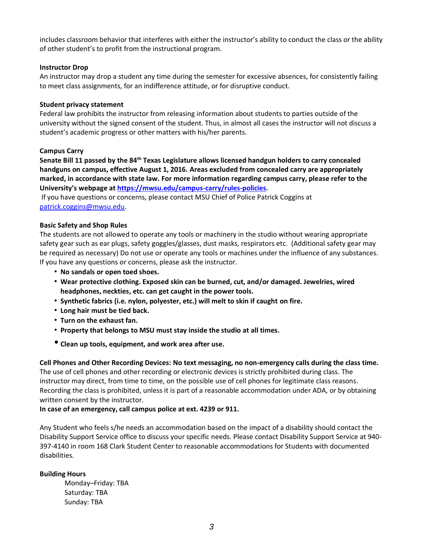includes classroom behavior that interferes with either the instructor's ability to conduct the class or the ability of other student's to profit from the instructional program.

### **Instructor Drop**

An instructor may drop a student any time during the semester for excessive absences, for consistently failing to meet class assignments, for an indifference attitude, or for disruptive conduct.

#### **Student privacy statement**

Federal law prohibits the instructor from releasing information about students to parties outside of the university without the signed consent of the student. Thus, in almost all cases the instructor will not discuss a student's academic progress or other matters with his/her parents.

#### **Campus Carry**

**Senate Bill 11 passed by the 84th Texas Legislature allows licensed handgun holders to carry concealed handguns on campus, effective August 1, 2016. Areas excluded from concealed carry are appropriately marked, in accordance with state law. For more information regarding campus carry, please refer to the University's webpage at [https://mwsu.edu/campus-carry/rules-policies.](https://mwsu.edu/campus-carry/rules-policies)**

If you have questions or concerns, please contact MSU Chief of Police Patrick Coggins at [patrick.coggins@mwsu.edu.](mailto:patrick.coggins@mwsu.edu)

#### **Basic Safety and Shop Rules**

The students are not allowed to operate any tools or machinery in the studio without wearing appropriate safety gear such as ear plugs, safety goggles/glasses, dust masks, respirators etc. (Additional safety gear may be required as necessary) Do not use or operate any tools or machines under the influence of any substances. If you have any questions or concerns, please ask the instructor.

- **No sandals or open toed shoes.**
- **Wear protective clothing. Exposed skin can be burned, cut, and/or damaged. Jewelries, wired headphones, neckties, etc. can get caught in the power tools.**
- **Synthetic fabrics (i.e. nylon, polyester, etc.) will melt to skin if caught on fire.**
- **Long hair must be tied back.**
- **Turn on the exhaust fan.**
- **Property that belongs to MSU must stay inside the studio at all times.**
- **Clean up tools, equipment, and work area after use.**

**Cell Phones and Other Recording Devices: No text messaging, no non-emergency calls during the class time.**  The use of cell phones and other recording or electronic devices is strictly prohibited during class. The instructor may direct, from time to time, on the possible use of cell phones for legitimate class reasons. Recording the class is prohibited, unless it is part of a reasonable accommodation under ADA, or by obtaining written consent by the instructor.

**In case of an emergency, call campus police at ext. 4239 or 911.** 

Any Student who feels s/he needs an accommodation based on the impact of a disability should contact the Disability Support Service office to discuss your specific needs. Please contact Disability Support Service at 940- 397-4140 in room 168 Clark Student Center to reasonable accommodations for Students with documented disabilities.

#### **Building Hours**

Monday–Friday: TBA Saturday: TBA Sunday: TBA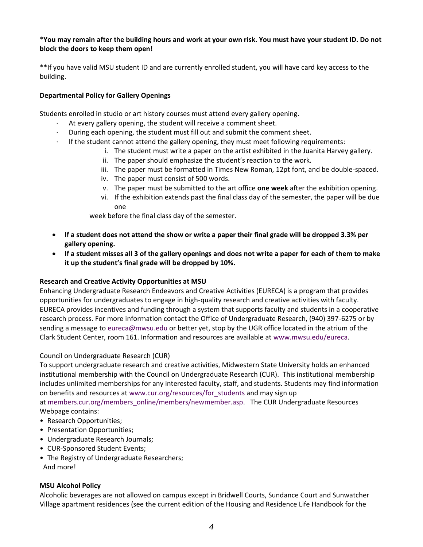# \***You may remain after the building hours and work at your own risk. You must have your student ID. Do not block the doors to keep them open!**

\*\*If you have valid MSU student ID and are currently enrolled student, you will have card key access to the building.

# **Departmental Policy for Gallery Openings**

Students enrolled in studio or art history courses must attend every gallery opening.

- At every gallery opening, the student will receive a comment sheet.
- During each opening, the student must fill out and submit the comment sheet.
- · If the student cannot attend the gallery opening, they must meet following requirements:
	- i. The student must write a paper on the artist exhibited in the Juanita Harvey gallery.
	- ii. The paper should emphasize the student's reaction to the work.
	- iii. The paper must be formatted in Times New Roman, 12pt font, and be double-spaced.
	- iv. The paper must consist of 500 words.
	- v. The paper must be submitted to the art office **one week** after the exhibition opening.
	- vi. If the exhibition extends past the final class day of the semester, the paper will be due one

week before the final class day of the semester.

- **If a student does not attend the show or write a paper their final grade will be dropped 3.3% per gallery opening.**
- **If a student misses all 3 of the gallery openings and does not write a paper for each of them to make it up the student's final grade will be dropped by 10%.**

# **Research and Creative Activity Opportunities at MSU**

Enhancing Undergraduate Research Endeavors and Creative Activities (EURECA) is a program that provides opportunities for undergraduates to engage in high-quality research and creative activities with faculty. EURECA provides incentives and funding through a system that supports faculty and students in a cooperative research process. For more information contact the Office of Undergraduate Research, (940) 397-6275 or by sending a message to [eureca@mwsu.edu](mailto:eureca@mwsu.edu) or better yet, stop by the UGR office located in the atrium of the Clark Student Center, room 161. Information and resources are available at [www.mwsu.edu/eureca.](http://www.mwsu.edu/eureca)

# Council on Undergraduate Research (CUR)

To support undergraduate research and creative activities, Midwestern State University holds an enhanced institutional membership with the Council on Undergraduate Research (CUR). This institutional membership includes unlimited memberships for any interested faculty, staff, and students. Students may find information on benefits and resources at [www.cur.org/resources/for\\_students](http://www.cur.org/resources/for_students) and may sign up at [members.cur.org/members\\_online/members/newmember.asp.](https://members.cur.org/members_online/members/newmember.asp) The CUR Undergraduate Resources Webpage contains:

- Research Opportunities;
- Presentation Opportunities;
- Undergraduate Research Journals;
- CUR-Sponsored Student Events;
- The Registry of Undergraduate Researchers; And more!

# **MSU Alcohol Policy**

Alcoholic beverages are not allowed on campus except in Bridwell Courts, Sundance Court and Sunwatcher Village apartment residences (see the current edition of the Housing and Residence Life Handbook for the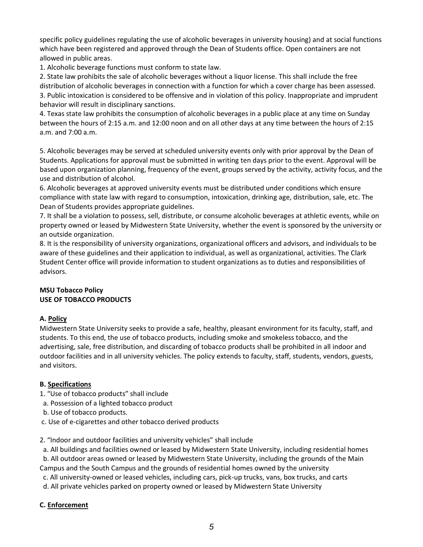specific policy guidelines regulating the use of alcoholic beverages in university housing) and at social functions which have been registered and approved through the Dean of Students office. Open containers are not allowed in public areas.

1. Alcoholic beverage functions must conform to state law.

2. State law prohibits the sale of alcoholic beverages without a liquor license. This shall include the free distribution of alcoholic beverages in connection with a function for which a cover charge has been assessed. 3. Public intoxication is considered to be offensive and in violation of this policy. Inappropriate and imprudent behavior will result in disciplinary sanctions.

4. Texas state law prohibits the consumption of alcoholic beverages in a public place at any time on Sunday between the hours of 2:15 a.m. and 12:00 noon and on all other days at any time between the hours of 2:15 a.m. and 7:00 a.m.

5. Alcoholic beverages may be served at scheduled university events only with prior approval by the Dean of Students. Applications for approval must be submitted in writing ten days prior to the event. Approval will be based upon organization planning, frequency of the event, groups served by the activity, activity focus, and the use and distribution of alcohol.

6. Alcoholic beverages at approved university events must be distributed under conditions which ensure compliance with state law with regard to consumption, intoxication, drinking age, distribution, sale, etc. The Dean of Students provides appropriate guidelines.

7. It shall be a violation to possess, sell, distribute, or consume alcoholic beverages at athletic events, while on property owned or leased by Midwestern State University, whether the event is sponsored by the university or an outside organization.

8. It is the responsibility of university organizations, organizational officers and advisors, and individuals to be aware of these guidelines and their application to individual, as well as organizational, activities. The Clark Student Center office will provide information to student organizations as to duties and responsibilities of advisors.

# **MSU Tobacco Policy USE OF TOBACCO PRODUCTS**

# **A. Policy**

Midwestern State University seeks to provide a safe, healthy, pleasant environment for its faculty, staff, and students. To this end, the use of tobacco products, including smoke and smokeless tobacco, and the advertising, sale, free distribution, and discarding of tobacco products shall be prohibited in all indoor and outdoor facilities and in all university vehicles. The policy extends to faculty, staff, students, vendors, guests, and visitors.

# **B. Specifications**

- 1. "Use of tobacco products" shall include
- a. Possession of a lighted tobacco product
- b. Use of tobacco products.
- c. Use of e-cigarettes and other tobacco derived products

# 2. "Indoor and outdoor facilities and university vehicles" shall include

a. All buildings and facilities owned or leased by Midwestern State University, including residential homes

b. All outdoor areas owned or leased by Midwestern State University, including the grounds of the Main Campus and the South Campus and the grounds of residential homes owned by the university

- c. All university-owned or leased vehicles, including cars, pick-up trucks, vans, box trucks, and carts
- d. All private vehicles parked on property owned or leased by Midwestern State University

# **C. Enforcement**